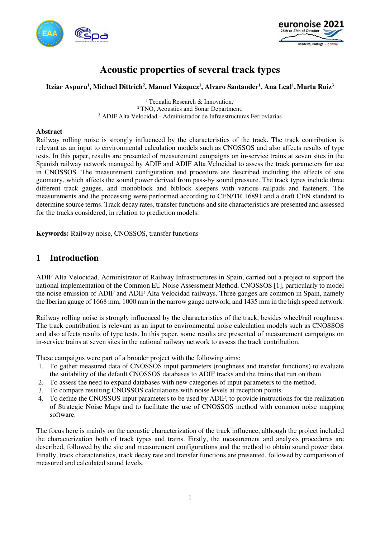



# **Acoustic properties of several track types**

### **Itziar Aspuru<sup>1</sup> , Michael Dittrich<sup>2</sup> , Manuel Vázquez<sup>1</sup> , Alvaro Santander<sup>1</sup> , Ana Leal<sup>1</sup> ,Marta Ruiz<sup>3</sup>**

<sup>1</sup> Tecnalia Research & Innovation, <sup>2</sup>TNO, Acoustics and Sonar Department, 3 ADIF Alta Velocidad - Administrador de Infraestructuras Ferroviarias

### **Abstract**

Railway rolling noise is strongly influenced by the characteristics of the track. The track contribution is relevant as an input to environmental calculation models such as CNOSSOS and also affects results of type tests. In this paper, results are presented of measurement campaigns on in-service trains at seven sites in the Spanish railway network managed by ADIF and ADIF Alta Velocidad to assess the track parameters for use in CNOSSOS. The measurement configuration and procedure are described including the effects of site geometry, which affects the sound power derived from pass-by sound pressure. The track types include three different track gauges, and monoblock and biblock sleepers with various railpads and fasteners. The measurements and the processing were performed according to CEN/TR 16891 and a draft CEN standard to determine source terms. Track decay rates, transfer functions and site characteristics are presented and assessed for the tracks considered, in relation to prediction models.

**Keywords:** Railway noise, CNOSSOS, transfer functions

# **1 Introduction**

ADIF Alta Velocidad, Administrator of Railway Infrastructures in Spain, carried out a project to support the national implementation of the Common EU Noise Assessment Method, CNOSSOS [1], particularly to model the noise emission of ADIF and ADIF Alta Velocidad railways. Three gauges are common in Spain, namely the Iberian gauge of 1668 mm, 1000 mm in the narrow gauge network, and 1435 mm in the high speed network.

Railway rolling noise is strongly influenced by the characteristics of the track, besides wheel/rail roughness. The track contribution is relevant as an input to environmental noise calculation models such as CNOSSOS and also affects results of type tests. In this paper, some results are presented of measurement campaigns on in-service trains at seven sites in the national railway network to assess the track contribution.

These campaigns were part of a broader project with the following aims:

- 1. To gather measured data of CNOSSOS input parameters (roughness and transfer functions) to evaluate the suitability of the default CNOSSOS databases to ADIF tracks and the trains that run on them.
- 2. To assess the need to expand databases with new categories of input parameters to the method.
- 3. To compare resulting CNOSSOS calculations with noise levels at reception points.
- 4. To define the CNOSSOS input parameters to be used by ADIF, to provide instructions for the realization of Strategic Noise Maps and to facilitate the use of CNOSSOS method with common noise mapping software.

The focus here is mainly on the acoustic characterization of the track influence, although the project included the characterization both of track types and trains. Firstly, the measurement and analysis procedures are described, followed by the site and measurement configurations and the method to obtain sound power data. Finally, track characteristics, track decay rate and transfer functions are presented, followed by comparison of measured and calculated sound levels.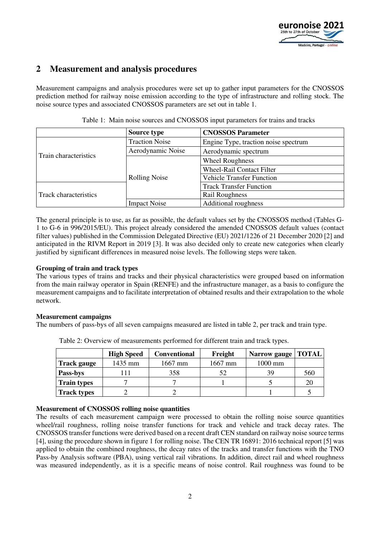

# **2 Measurement and analysis procedures**

Measurement campaigns and analysis procedures were set up to gather input parameters for the CNOSSOS prediction method for railway noise emission according to the type of infrastructure and rolling stock. The noise source types and associated CNOSSOS parameters are set out in table 1.

|                              | Source type           | <b>CNOSSOS Parameter</b>             |  |  |
|------------------------------|-----------------------|--------------------------------------|--|--|
|                              | <b>Traction Noise</b> | Engine Type, traction noise spectrum |  |  |
| Train characteristics        | Aerodynamic Noise     | Aerodynamic spectrum                 |  |  |
|                              |                       | <b>Wheel Roughness</b>               |  |  |
|                              |                       | <b>Wheel-Rail Contact Filter</b>     |  |  |
|                              | <b>Rolling Noise</b>  | <b>Vehicle Transfer Function</b>     |  |  |
| <b>Track characteristics</b> |                       | <b>Track Transfer Function</b>       |  |  |
|                              |                       | <b>Rail Roughness</b>                |  |  |
|                              | <b>Impact Noise</b>   | <b>Additional roughness</b>          |  |  |

Table 1: Main noise sources and CNOSSOS input parameters for trains and tracks

The general principle is to use, as far as possible, the default values set by the CNOSSOS method (Tables G-1 to G-6 in 996/2015/EU). This project already considered the amended CNOSSOS default values (contact filter values) published in the Commission Delegated Directive (EU) 2021/1226 of 21 December 2020 [2] and anticipated in the RIVM Report in 2019 [3]. It was also decided only to create new categories when clearly justified by significant differences in measured noise levels. The following steps were taken.

### **Grouping of train and track types**

The various types of trains and tracks and their physical characteristics were grouped based on information from the main railway operator in Spain (RENFE) and the infrastructure manager, as a basis to configure the measurement campaigns and to facilitate interpretation of obtained results and their extrapolation to the whole network.

#### **Measurement campaigns**

The numbers of pass-bys of all seven campaigns measured are listed in table 2, per track and train type.

|                    | <b>High Speed</b> | <b>Conventional</b> | Freight   | Narrow gauge   TOTAL |     |
|--------------------|-------------------|---------------------|-----------|----------------------|-----|
| <b>Track gauge</b> | 1435 mm           | $1667$ mm           | $1667$ mm | 1000 mm              |     |
| Pass-bys           |                   | 358                 | 52        | 39                   | 560 |
| <b>Train types</b> |                   |                     |           |                      | 20  |
| <b>Track types</b> |                   |                     |           |                      |     |

Table 2: Overview of measurements performed for different train and track types.

### **Measurement of CNOSSOS rolling noise quantities**

The results of each measurement campaign were processed to obtain the rolling noise source quantities wheel/rail roughness, rolling noise transfer functions for track and vehicle and track decay rates. The CNOSSOS transfer functions were derived based on a recent draft CEN standard on railway noise source terms [4], using the procedure shown in figure 1 for rolling noise. The CEN TR 16891: 2016 technical report [5] was applied to obtain the combined roughness, the decay rates of the tracks and transfer functions with the TNO Pass-by Analysis software (PBA), using vertical rail vibrations. In addition, direct rail and wheel roughness was measured independently, as it is a specific means of noise control. Rail roughness was found to be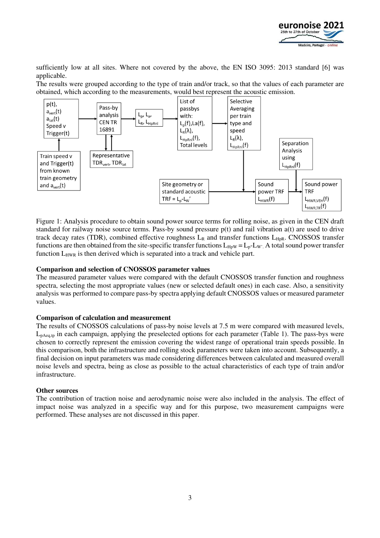

sufficiently low at all sites. Where not covered by the above, the EN ISO 3095: 2013 standard [6] was applicable.

The results were grouped according to the type of train and/or track, so that the values of each parameter are obtained, which according to the measurements, would best represent the acoustic emission.



Figure 1: Analysis procedure to obtain sound power source terms for rolling noise, as given in the CEN draft standard for railway noise source terms. Pass-by sound pressure p(t) and rail vibration a(t) are used to drive track decay rates (TDR), combined effective roughness  $L_R$  and transfer functions  $L_{HpR}$ . CNOSSOS transfer functions are then obtained from the site-specific transfer functions  $L_{HpW} = L_p - L_W$ . A total sound power transfer function L<sub>HWR</sub> is then derived which is separated into a track and vehicle part.

#### **Comparison and selection of CNOSSOS parameter values**

The measured parameter values were compared with the default CNOSSOS transfer function and roughness spectra, selecting the most appropriate values (new or selected default ones) in each case. Also, a sensitivity analysis was performed to compare pass-by spectra applying default CNOSSOS values or measured parameter values.

#### **Comparison of calculation and measurement**

The results of CNOSSOS calculations of pass-by noise levels at 7.5 m were compared with measured levels,  $L_{pAeq,tp}$  in each campaign, applying the preselected options for each parameter (Table 1). The pass-bys were chosen to correctly represent the emission covering the widest range of operational train speeds possible. In this comparison, both the infrastructure and rolling stock parameters were taken into account. Subsequently, a final decision on input parameters was made considering differences between calculated and measured overall noise levels and spectra, being as close as possible to the actual characteristics of each type of train and/or infrastructure.

#### **Other sources**

The contribution of traction noise and aerodynamic noise were also included in the analysis. The effect of impact noise was analyzed in a specific way and for this purpose, two measurement campaigns were performed. These analyses are not discussed in this paper.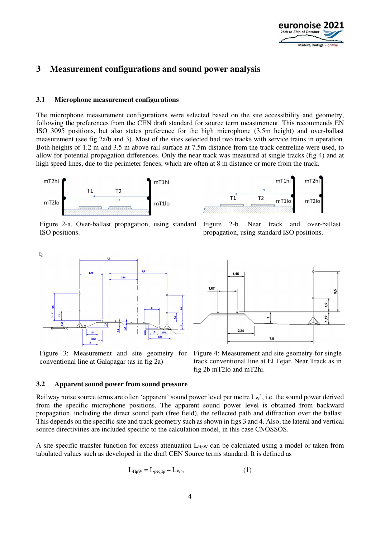

# **3 Measurement configurations and sound power analysis**

### **3.1 Microphone measurement configurations**

The microphone measurement configurations were selected based on the site accessibility and geometry, following the preferences from the CEN draft standard for source term measurement. This recommends EN ISO 3095 positions, but also states preference for the high microphone (3.5m height) and over-ballast measurement (see fig 2a/b and 3). Most of the sites selected had two tracks with service trains in operation. Both heights of 1.2 m and 3.5 m above rail surface at 7.5m distance from the track centreline were used, to allow for potential propagation differences. Only the near track was measured at single tracks (fig 4) and at high speed lines, due to the perimeter fences, which are often at 8 m distance or more from the track.





Figure 2-a. Over-ballast propagation, using standard ISO positions.

Figure 2-b. Near track and over-ballast propagation, using standard ISO positions.



Figure 3: Measurement and site geometry for conventional line at Galapagar (as in fig 2a)



Figure 4: Measurement and site geometry for single track conventional line at El Tejar. Near Track as in fig 2b mT2lo and mT2hi.

#### **3.2 Apparent sound power from sound pressure**

Railway noise source terms are often 'apparent' sound power level per metre  $L<sub>W</sub>$ ', i.e. the sound power derived from the specific microphone positions. The apparent sound power level is obtained from backward propagation, including the direct sound path (free field), the reflected path and diffraction over the ballast. This depends on the specific site and track geometry such as shown in figs 3 and 4. Also, the lateral and vertical source directivities are included specific to the calculation model, in this case CNOSSOS.

A site-specific transfer function for excess attenuation  $L_{H\nu W}$  can be calculated using a model or taken from tabulated values such as developed in the draft CEN Source terms standard. It is defined as

$$
L_{\text{HpW}} = L_{\text{peq,tp}} - L_{\text{W}}\tag{1}
$$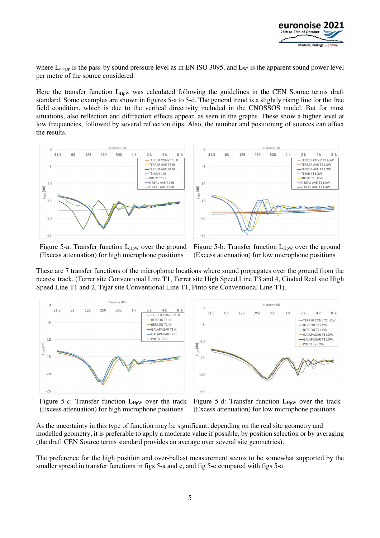

where  $L_{\text{peq,tp}}$  is the pass-by sound pressure level as in EN ISO 3095, and  $L_{W'}$  is the apparent sound power level per metre of the source considered.

Here the transfer function  $L_{H\nu W}$  was calculated following the guidelines in the CEN Source terms draft standard. Some examples are shown in figures 5-a to 5-d. The general trend is a slightly rising line for the free field condition, which is due to the vertical directivity included in the CNOSSOS model. But for most situations, also reflection and diffraction effects appear, as seen in the graphs. These show a higher level at low frequencies, followed by several reflection dips. Also, the number and positioning of sources can affect the results.





Figure 5-a: Transfer function  $L_{HpW}$  over the ground (Excess attenuation) for high microphone positions

Figure 5-b: Transfer function  $L_{HpW}$  over the ground (Excess attenuation) for low microphone positions

These are 7 transfer functions of the microphone locations where sound propagates over the ground from the nearest track. (Terrer site Conventional Line T1, Terrer site High Speed Line T3 and 4, Ciudad Real site High Speed Line T1 and 2, Tejar site Conventional Line T1, Pinto site Conventional Line T1).



Figure 5-c: Transfer function  $L_{HpW}$  over the track (Excess attenuation) for high microphone positions

Figure 5-d: Transfer function  $L_{HpW}$  over the track (Excess attenuation) for low microphone positions

As the uncertainty in this type of function may be significant, depending on the real site geometry and modelled geometry, it is preferable to apply a moderate value if possible, by position selection or by averaging (the draft CEN Source terms standard provides an average over several site geometries).

The preference for the high position and over-ballast measurement seems to be somewhat supported by the smaller spread in transfer functions in figs 5-a and c, and fig 5-c compared with figs 5-a.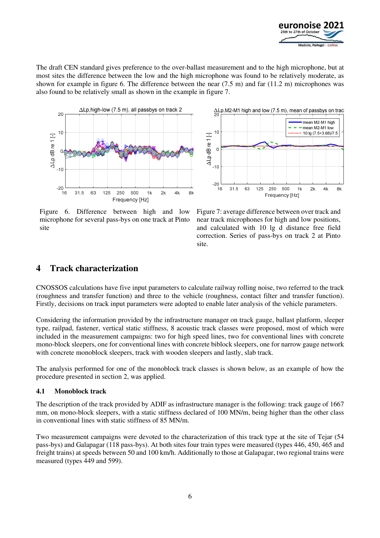

The draft CEN standard gives preference to the over-ballast measurement and to the high microphone, but at most sites the difference between the low and the high microphone was found to be relatively moderate, as shown for example in figure 6. The difference between the near  $(7.5 \text{ m})$  and far  $(11.2 \text{ m})$  microphones was also found to be relatively small as shown in the example in figure 7.



Figure 6. Difference between high and low microphone for several pass-bys on one track at Pinto site



Figure 7: average difference between over track and near track microphones for high and low positions, and calculated with 10 lg d distance free field correction. Series of pass-bys on track 2 at Pinto site.

# **4 Track characterization**

CNOSSOS calculations have five input parameters to calculate railway rolling noise, two referred to the track (roughness and transfer function) and three to the vehicle (roughness, contact filter and transfer function). Firstly, decisions on track input parameters were adopted to enable later analysis of the vehicle parameters.

Considering the information provided by the infrastructure manager on track gauge, ballast platform, sleeper type, railpad, fastener, vertical static stiffness, 8 acoustic track classes were proposed, most of which were included in the measurement campaigns: two for high speed lines, two for conventional lines with concrete mono-block sleepers, one for conventional lines with concrete biblock sleepers, one for narrow gauge network with concrete monoblock sleepers, track with wooden sleepers and lastly, slab track.

The analysis performed for one of the monoblock track classes is shown below, as an example of how the procedure presented in section 2, was applied.

### **4.1 Monoblock track**

The description of the track provided by ADIF as infrastructure manager is the following: track gauge of 1667 mm, on mono-block sleepers, with a static stiffness declared of 100 MN/m, being higher than the other class in conventional lines with static stiffness of 85 MN/m.

Two measurement campaigns were devoted to the characterization of this track type at the site of Tejar (54 pass-bys) and Galapagar (118 pass-bys). At both sites four train types were measured (types 446, 450, 465 and freight trains) at speeds between 50 and 100 km/h. Additionally to those at Galapagar, two regional trains were measured (types 449 and 599).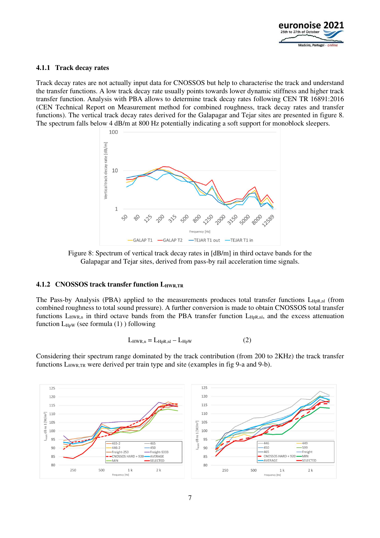

### **4.1.1 Track decay rates**

Track decay rates are not actually input data for CNOSSOS but help to characterise the track and understand the transfer functions. A low track decay rate usually points towards lower dynamic stiffness and higher track transfer function. Analysis with PBA allows to determine track decay rates following CEN TR 16891:2016 (CEN Technical Report on Measurement method for combined roughness, track decay rates and transfer functions). The vertical track decay rates derived for the Galapagar and Tejar sites are presented in figure 8. The spectrum falls below 4 dB/m at 800 Hz potentially indicating a soft support for monoblock sleepers.



Figure 8: Spectrum of vertical track decay rates in [dB/m] in third octave bands for the Galapagar and Tejar sites, derived from pass-by rail acceleration time signals.

## **4.1.2 CNOSSOS track transfer function LHWR,TR**

The Pass-by Analysis (PBA) applied to the measurements produces total transfer functions L<sub>HpR,nl</sub> (from combined roughness to total sound pressure). A further conversion is made to obtain CNOSSOS total transfer functions  $L_{HWR,n}$  in third octave bands from the PBA transfer function  $L_{HpR,nl}$ , and the excess attenuation function  $L_{\text{How}}$  (see formula (1)) following

$$
L_{HWR,n} = L_{HpR,nl} - L_{HpW}
$$
 (2)

Considering their spectrum range dominated by the track contribution (from 200 to 2KHz) the track transfer functions L<sub>HWR,TR</sub> were derived per train type and site (examples in fig 9-a and 9-b).

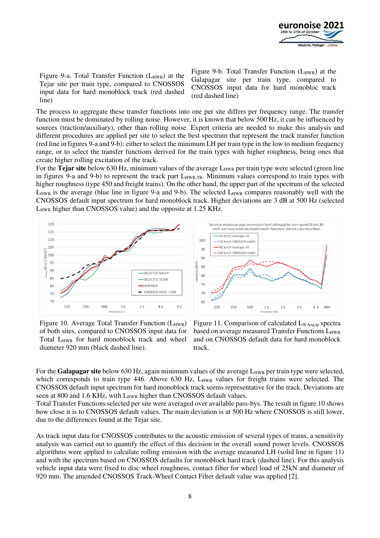

Figure 9-a. Total Transfer Function  $(L_{HWR})$  at the Tejar site per train type, compared to CNOSSOS input data for hard monoblock track (red dashed line)

Figure 9-b. Total Transfer Function  $(L_{HWR})$  at the Galapagar site per train type, compared to CNOSSOS input data for hard monobloc track (red dashed line)

The process to aggregate these transfer functions into one per site differs per frequency range. The transfer function must be dominated by rolling noise. However, it is known that below 500 Hz, it can be influenced by sources (traction/auxiliary), other than rolling noise. Expert criteria are needed to make this analysis and different procedures are applied per site to select the best spectrum that represent the track transfer function (red line in figures 9-a and 9-b): either to select the minimum LH per train type in the low to medium frequency range, or to select the transfer functions derived for the train types with higher roughness, being ones that create higher rolling excitation of the track.

For the **Tejar site** below 630 Hz, minimum values of the average L<sub>HWR</sub> per train type were selected (green line in figures 9-a and 9-b) to represent the track part L<sub>HWR,TR</sub>. Minimum values correspond to train types with higher roughness (type 450 and freight trains). On the other hand, the upper part of the spectrum of the selected  $L_{HWR}$  is the average (blue line in figure 9-a and 9-b). The selected  $L_{HWR}$  compares reasonably well with the CNOSSOS default input spectrum for hard monoblock track. Higher deviations are 3 dB at 500 Hz (selected L<sub>HWR</sub> higher than CNOSSOS value) and the opposite at 1.25 KHz.





Figure 10. Average Total Transfer Function  $(L_{HWR})$ of both sites, compared to CNOSSOS input data for Total L<sub>HWR</sub> for hard monoblock track and wheel diameter 920 mm (black dashed line).

Figure 11. Comparison of calculated L<sub>WAeq,tp</sub> spectra based on average measured Transfer Functions  $L_{HWR}$ and on CNOSSOS default data for hard monoblock track.

For the **Galapagar site** below 630 Hz, again minimum values of the average L<sub>HWR</sub> per train type were selected, which corresponds to train type 446. Above 630 Hz, L<sub>HWR</sub> values for freight trains were selected. The CNOSSOS default input spectrum for hard monoblock track seems representative for the track. Deviations are seen at 800 and 1.6 KHz, with L<sub>HWR</sub> higher than CNOSSOS default values.

Total Transfer Functions selected per site were averaged over available pass-bys. The result in figure 10 shows how close it is to CNOSSOS default values. The main deviation is at 500 Hz where CNOSSOS is still lower, due to the differences found at the Tejar site.

As track input data for CNOSSOS contributes to the acoustic emission of several types of trains, a sensitivity analysis was carried out to quantify the effect of this decision in the overall sound power levels. CNOSSOS algorithms were applied to calculate rolling emission with the average measured LH (solid line in figure 11) and with the spectrum based on CNOSSOS defaults for monoblock hard track (dashed line). For this analysis vehicle input data were fixed to disc wheel roughness, contact filter for wheel load of 25kN and diameter of 920 mm. The amended CNOSSOS Track-Wheel Contact Filter default value was applied [2].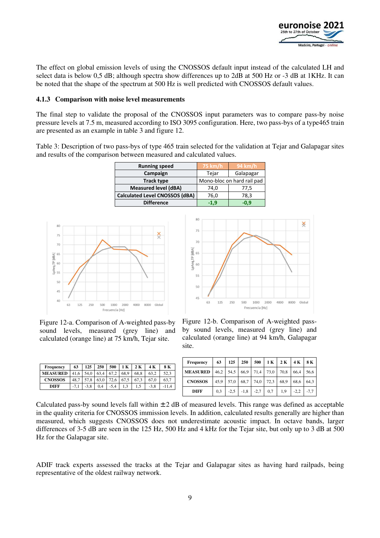

The effect on global emission levels of using the CNOSSOS default input instead of the calculated LH and select data is below 0,5 dB; although spectra show differences up to 2dB at 500 Hz or -3 dB at 1KHz. It can be noted that the shape of the spectrum at 500 Hz is well predicted with CNOSSOS default values.

### **4.1.3 Comparison with noise level measurements**

The final step to validate the proposal of the CNOSSOS input parameters was to compare pass-by noise pressure levels at 7.5 m, measured according to ISO 3095 configuration. Here, two pass-bys of a type465 train are presented as an example in table 3 and figure 12.

Table 3: Description of two pass-bys of type 465 train selected for the validation at Tejar and Galapagar sites and results of the comparison between measured and calculated values.

| <b>Running speed</b>                  | 75 km/h                    | $94 \text{ km/h}$ |  |  |  |
|---------------------------------------|----------------------------|-------------------|--|--|--|
| Campaign                              | Tejar                      | Galapagar         |  |  |  |
| <b>Track type</b>                     | Mono-bloc on hard rail pad |                   |  |  |  |
| <b>Measured level (dBA)</b>           | 74,0                       | 77,5              |  |  |  |
| <b>Calculated Level CNOSSOS (dBA)</b> | 76,0                       | 78,3              |  |  |  |
| <b>Difference</b>                     | $-1.9$                     | $-0.9$            |  |  |  |



Figure 12-a. Comparison of A-weighted pass-by sound levels, measured (grey line) and calculated (orange line) at 75 km/h, Tejar site.

| Frequency       | 63   | 125    | 250  | 500  | K    |      |        | 8 K  |
|-----------------|------|--------|------|------|------|------|--------|------|
| <b>MEASURED</b> |      | 54,0   | 63.4 | 67   | 68.9 | 68.8 | 63.2   | 52.3 |
| <b>CNOSSOS</b>  | 48,7 | 57.8   | 63.0 | 72,6 | 67,5 | 67,3 | 67.0   | 63.7 |
| DIFF            |      | $-3.8$ | 0.4  | -5.4 |      | л.   | $-3.8$ |      |

| 80                       |  |  |  |  | Ӿ |
|--------------------------|--|--|--|--|---|
| 75                       |  |  |  |  |   |
| 70                       |  |  |  |  |   |
|                          |  |  |  |  |   |
| LpAeq,TP [dBA]<br>S<br>S |  |  |  |  |   |
| 55                       |  |  |  |  |   |
| 50                       |  |  |  |  |   |
| 45                       |  |  |  |  |   |

Figure 12-b. Comparison of A-weighted passby sound levels, measured (grey line) and calculated (orange line) at 94 km/h, Galapagar site.

| Frequency       | 63   | 125    | 250    | 500    | 1K   | 2K   | 4 K    | 8 K    |
|-----------------|------|--------|--------|--------|------|------|--------|--------|
| <b>MEASURED</b> | 46.2 | 54,5   | 66.9   | 71,4   | 73,0 | 70,8 | 66.4   | 56.6   |
| <b>CNOSSOS</b>  | 45.9 | 57,0   | 68.7   | 74.0   | 72.3 | 68.9 | 68.6   | 64.3   |
| <b>DIFF</b>     | 0.3  | $-2,5$ | $-1,8$ | $-2,7$ | 0.7  | 1.9  | $-2.2$ | $-7.7$ |

Calculated pass-by sound levels fall within  $\pm 2$  dB of measured levels. This range was defined as acceptable in the quality criteria for CNOSSOS immission levels. In addition, calculated results generally are higher than measured, which suggests CNOSSOS does not underestimate acoustic impact. In octave bands, larger differences of 3-5 dB are seen in the 125 Hz, 500 Hz and 4 kHz for the Tejar site, but only up to 3 dB at 500 Hz for the Galapagar site.

ADIF track experts assessed the tracks at the Tejar and Galapagar sites as having hard railpads, being representative of the oldest railway network.